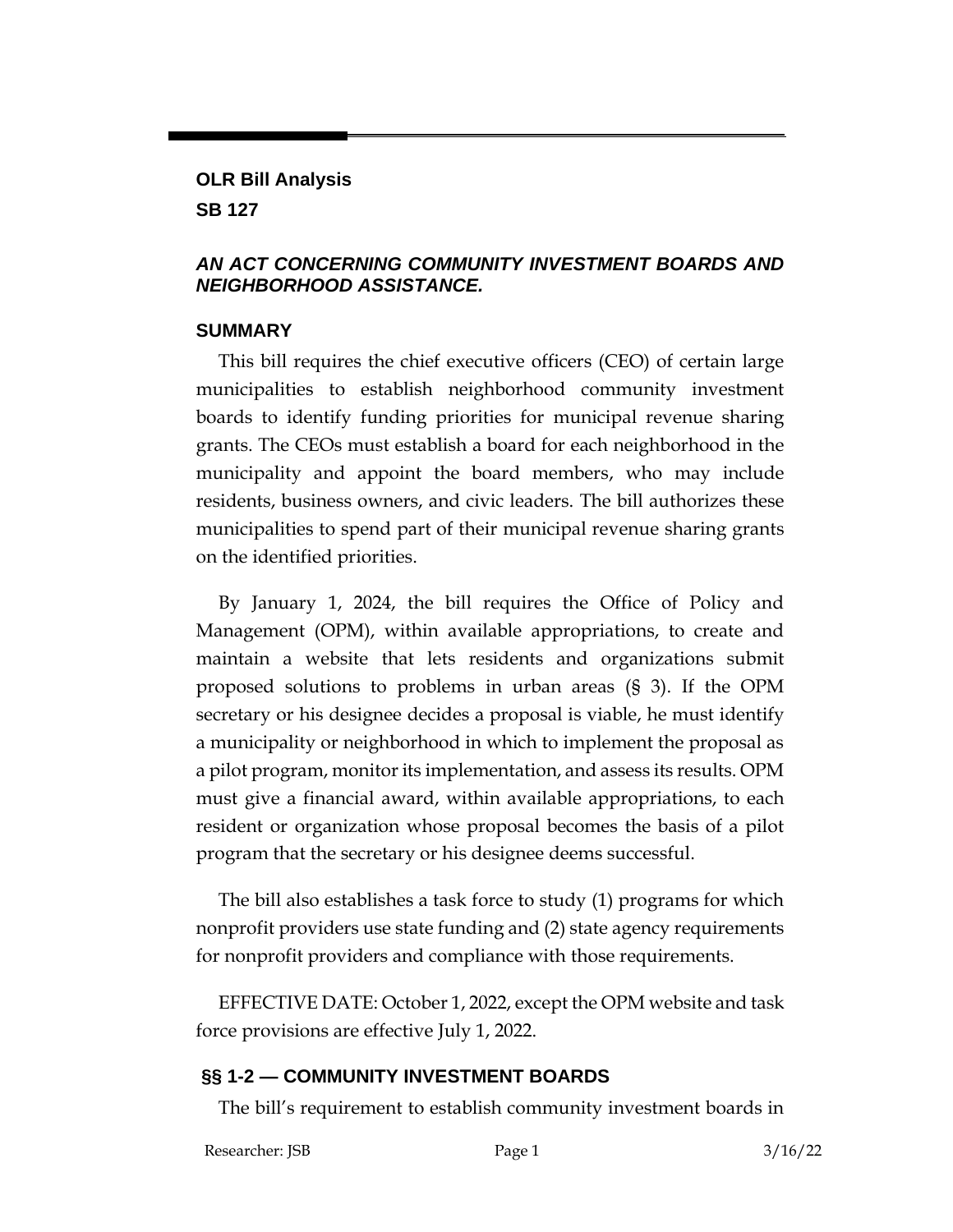### **OLR Bill Analysis**

**SB 127**

### *AN ACT CONCERNING COMMUNITY INVESTMENT BOARDS AND NEIGHBORHOOD ASSISTANCE.*

#### **SUMMARY**

This bill requires the chief executive officers (CEO) of certain large municipalities to establish neighborhood community investment boards to identify funding priorities for municipal revenue sharing grants. The CEOs must establish a board for each neighborhood in the municipality and appoint the board members, who may include residents, business owners, and civic leaders. The bill authorizes these municipalities to spend part of their municipal revenue sharing grants on the identified priorities.

By January 1, 2024, the bill requires the Office of Policy and Management (OPM), within available appropriations, to create and maintain a website that lets residents and organizations submit proposed solutions to problems in urban areas (§ 3). If the OPM secretary or his designee decides a proposal is viable, he must identify a municipality or neighborhood in which to implement the proposal as a pilot program, monitor its implementation, and assess its results. OPM must give a financial award, within available appropriations, to each resident or organization whose proposal becomes the basis of a pilot program that the secretary or his designee deems successful.

The bill also establishes a task force to study (1) programs for which nonprofit providers use state funding and (2) state agency requirements for nonprofit providers and compliance with those requirements.

EFFECTIVE DATE: October 1, 2022, except the OPM website and task force provisions are effective July 1, 2022.

## **§§ 1-2 — COMMUNITY INVESTMENT BOARDS**

The bill's requirement to establish community investment boards in

Researcher: JSB Page 1 3/16/22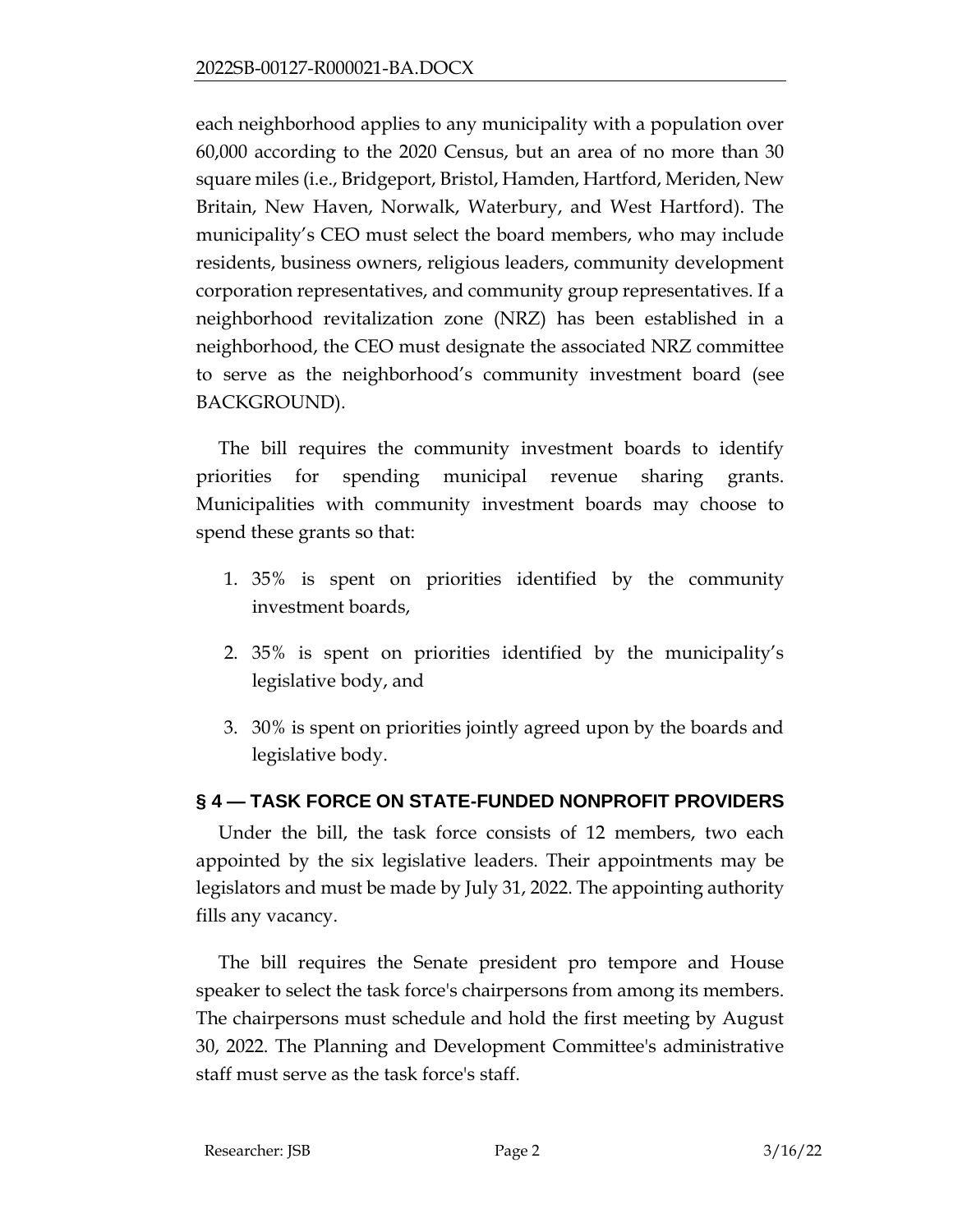each neighborhood applies to any municipality with a population over 60,000 according to the 2020 Census, but an area of no more than 30 square miles (i.e., Bridgeport, Bristol, Hamden, Hartford, Meriden, New Britain, New Haven, Norwalk, Waterbury, and West Hartford). The municipality's CEO must select the board members, who may include residents, business owners, religious leaders, community development corporation representatives, and community group representatives. If a neighborhood revitalization zone (NRZ) has been established in a neighborhood, the CEO must designate the associated NRZ committee to serve as the neighborhood's community investment board (see BACKGROUND).

The bill requires the community investment boards to identify priorities for spending municipal revenue sharing grants. Municipalities with community investment boards may choose to spend these grants so that:

- 1. 35% is spent on priorities identified by the community investment boards,
- 2. 35% is spent on priorities identified by the municipality's legislative body, and
- 3. 30% is spent on priorities jointly agreed upon by the boards and legislative body.

# **§ 4 — TASK FORCE ON STATE-FUNDED NONPROFIT PROVIDERS**

Under the bill, the task force consists of 12 members, two each appointed by the six legislative leaders. Their appointments may be legislators and must be made by July 31, 2022. The appointing authority fills any vacancy.

The bill requires the Senate president pro tempore and House speaker to select the task force's chairpersons from among its members. The chairpersons must schedule and hold the first meeting by August 30, 2022. The Planning and Development Committee's administrative staff must serve as the task force's staff.